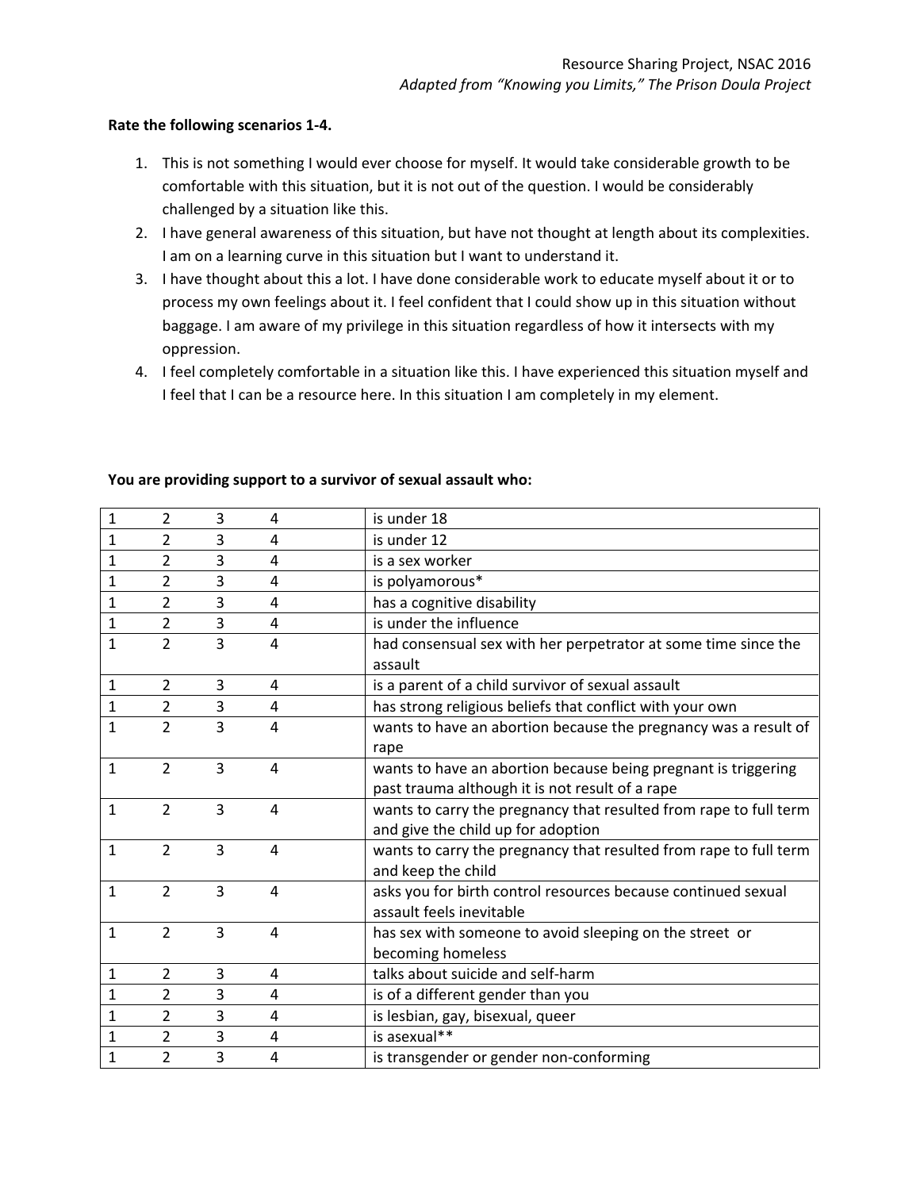## **Rate the following scenarios 1-4.**

- 1. This is not something I would ever choose for myself. It would take considerable growth to be comfortable with this situation, but it is not out of the question. I would be considerably challenged by a situation like this.
- 2. I have general awareness of this situation, but have not thought at length about its complexities. I am on a learning curve in this situation but I want to understand it.
- 3. I have thought about this a lot. I have done considerable work to educate myself about it or to process my own feelings about it. I feel confident that I could show up in this situation without baggage. I am aware of my privilege in this situation regardless of how it intersects with my oppression.
- 4. I feel completely comfortable in a situation like this. I have experienced this situation myself and I feel that I can be a resource here. In this situation I am completely in my element.

| $\mathbf{1}$ | $\overline{2}$ | 3              | 4 | is under 18                                                                                                       |
|--------------|----------------|----------------|---|-------------------------------------------------------------------------------------------------------------------|
| $\mathbf{1}$ | $\overline{2}$ | 3              | 4 | is under 12                                                                                                       |
| 1            | $\overline{2}$ | 3              | 4 | is a sex worker                                                                                                   |
| $\mathbf{1}$ | $\overline{2}$ | 3              | 4 | is polyamorous*                                                                                                   |
| 1            | $\overline{2}$ | 3              | 4 | has a cognitive disability                                                                                        |
| 1            | $\overline{2}$ | 3              | 4 | is under the influence                                                                                            |
| 1            | $\overline{2}$ | 3              | 4 | had consensual sex with her perpetrator at some time since the<br>assault                                         |
| $\mathbf{1}$ | $\overline{2}$ | 3              | 4 | is a parent of a child survivor of sexual assault                                                                 |
| 1            | $\overline{2}$ | $\overline{3}$ | 4 | has strong religious beliefs that conflict with your own                                                          |
| $\mathbf{1}$ | $\overline{2}$ | 3              | 4 | wants to have an abortion because the pregnancy was a result of<br>rape                                           |
| $\mathbf{1}$ | $\overline{2}$ | 3              | 4 | wants to have an abortion because being pregnant is triggering<br>past trauma although it is not result of a rape |
| $\mathbf{1}$ | $\overline{2}$ | 3              | 4 | wants to carry the pregnancy that resulted from rape to full term<br>and give the child up for adoption           |
| $\mathbf{1}$ | $\overline{2}$ | $\overline{3}$ | 4 | wants to carry the pregnancy that resulted from rape to full term<br>and keep the child                           |
| $\mathbf{1}$ | $\overline{2}$ | $\overline{3}$ | 4 | asks you for birth control resources because continued sexual<br>assault feels inevitable                         |
| $\mathbf{1}$ | $\overline{2}$ | $\overline{3}$ | 4 | has sex with someone to avoid sleeping on the street or<br>becoming homeless                                      |
| $\mathbf{1}$ | $\overline{2}$ | 3              | 4 | talks about suicide and self-harm                                                                                 |
| 1            | $\overline{2}$ | 3              | 4 | is of a different gender than you                                                                                 |
| $\mathbf{1}$ | $\overline{2}$ | 3              | 4 | is lesbian, gay, bisexual, queer                                                                                  |
| 1            | $\overline{2}$ | 3              | 4 | is asexual**                                                                                                      |
| $\mathbf 1$  | $\overline{2}$ | 3              | 4 | is transgender or gender non-conforming                                                                           |

## **You are providing support to a survivor of sexual assault who:**